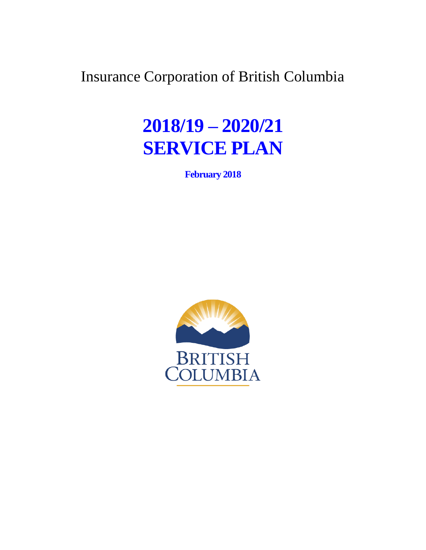Insurance Corporation of British Columbia

# **2018/19 – 2020/21 SERVICE PLAN**

**February 2018** 

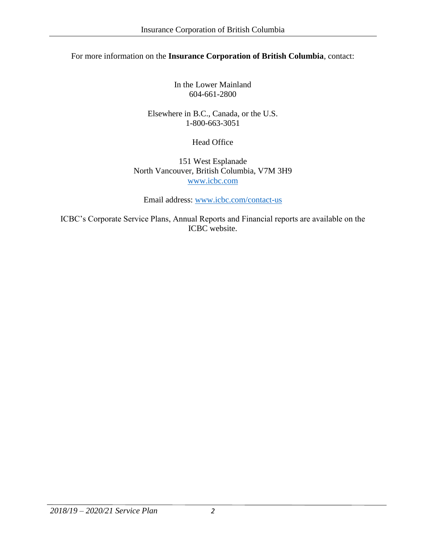#### For more information on the **Insurance Corporation of British Columbia**, contact:

In the Lower Mainland 604-661-2800

Elsewhere in B.C., Canada, or the U.S. 1-800-663-3051

Head Office

151 West Esplanade North Vancouver, British Columbia, V7M 3H9 [www.icbc.com](http://www.icbc.com)

Email address: [www.icbc.com/contact-us](http://www.icbc.com/contact-us)

ICBC's Corporate Service Plans, Annual Reports and Financial reports are available on the ICBC website.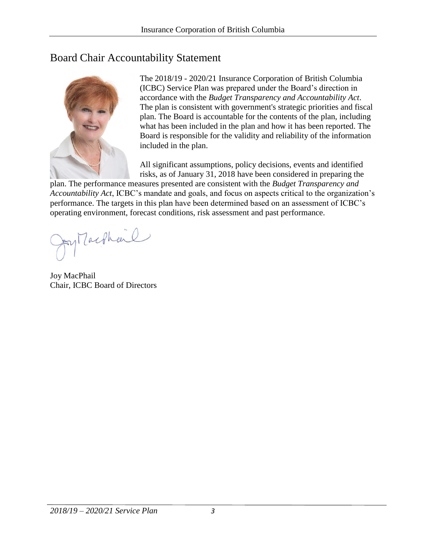# Board Chair Accountability Statement



The 2018/19 - 2020/21 Insurance Corporation of British Columbia (ICBC) Service Plan was prepared under the Board's direction in accordance with the *Budget Transparency and Accountability Act*. The plan is consistent with government's strategic priorities and fiscal plan. The Board is accountable for the contents of the plan, including what has been included in the plan and how it has been reported. The Board is responsible for the validity and reliability of the information included in the plan.

All significant assumptions, policy decisions, events and identified risks, as of January 31, 2018 have been considered in preparing the

plan. The performance measures presented are consistent with the *Budget Transparency and Accountability Act*, ICBC's mandate and goals, and focus on aspects critical to the organization's performance. The targets in this plan have been determined based on an assessment of ICBC's operating environment, forecast conditions, risk assessment and past performance.

Ay Machine

Joy MacPhail Chair, ICBC Board of Directors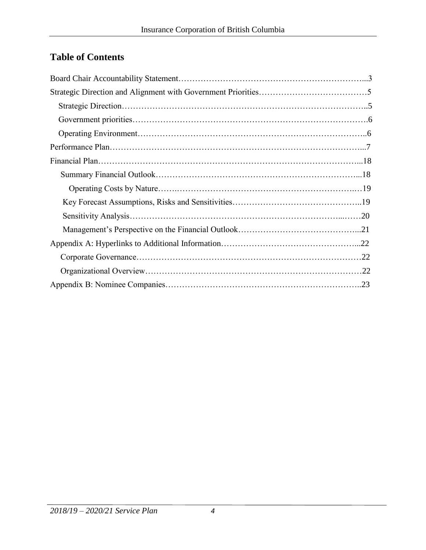# **Table of Contents**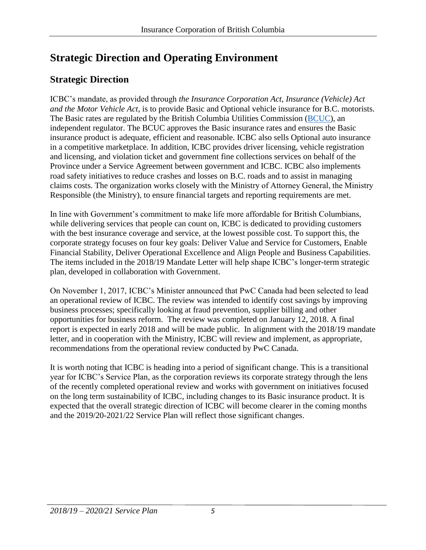# **Strategic Direction and Operating Environment**

# **Strategic Direction**

ICBC's mandate, as provided through *the Insurance Corporation Act, Insurance (Vehicle) Act and the Motor Vehicle Act*, is to provide Basic and Optional vehicle insurance for B.C. motorists. The Basic rates are regulated by the British Columbia Utilities Commission [\(BCUC\)](http://www.bcuc.com/), an independent regulator. The BCUC approves the Basic insurance rates and ensures the Basic insurance product is adequate, efficient and reasonable. ICBC also sells Optional auto insurance in a competitive marketplace. In addition, ICBC provides driver licensing, vehicle registration and licensing, and violation ticket and government fine collections services on behalf of the Province under a Service Agreement between government and ICBC. ICBC also implements road safety initiatives to reduce crashes and losses on B.C. roads and to assist in managing claims costs. The organization works closely with the Ministry of Attorney General, the Ministry Responsible (the Ministry), to ensure financial targets and reporting requirements are met.

In line with Government's commitment to make life more affordable for British Columbians, while delivering services that people can count on, ICBC is dedicated to providing customers with the best insurance coverage and service, at the lowest possible cost. To support this, the corporate strategy focuses on four key goals: Deliver Value and Service for Customers, Enable Financial Stability, Deliver Operational Excellence and Align People and Business Capabilities. The items included in the 2018/19 Mandate Letter will help shape ICBC's longer-term strategic plan, developed in collaboration with Government.

On November 1, 2017, ICBC's Minister announced that PwC Canada had been selected to lead an operational review of ICBC. The review was intended to identify cost savings by improving business processes; specifically looking at fraud prevention, supplier billing and other opportunities for business reform. The review was completed on January 12, 2018. A final report is expected in early 2018 and will be made public. In alignment with the 2018/19 mandate letter, and in cooperation with the Ministry, ICBC will review and implement, as appropriate, recommendations from the operational review conducted by PwC Canada.

It is worth noting that ICBC is heading into a period of significant change. This is a transitional year for ICBC's Service Plan, as the corporation reviews its corporate strategy through the lens of the recently completed operational review and works with government on initiatives focused on the long term sustainability of ICBC, including changes to its Basic insurance product. It is expected that the overall strategic direction of ICBC will become clearer in the coming months and the 2019/20-2021/22 Service Plan will reflect those significant changes.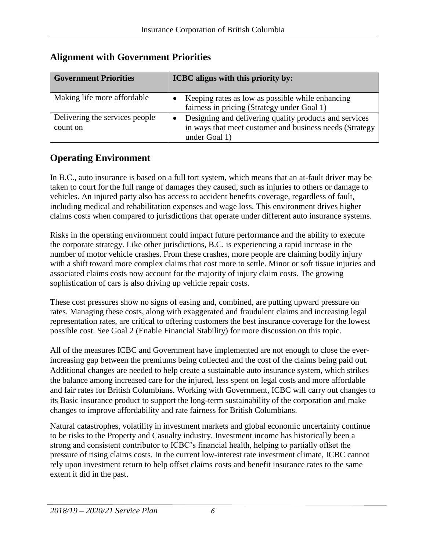| <b>Government Priorities</b>               | ICBC aligns with this priority by:                                                                                                 |
|--------------------------------------------|------------------------------------------------------------------------------------------------------------------------------------|
| Making life more affordable                | Keeping rates as low as possible while enhancing<br>fairness in pricing (Strategy under Goal 1)                                    |
| Delivering the services people<br>count on | Designing and delivering quality products and services<br>in ways that meet customer and business needs (Strategy<br>under Goal 1) |

# **Alignment with Government Priorities**

# **Operating Environment**

In B.C., auto insurance is based on a full tort system, which means that an at-fault driver may be taken to court for the full range of damages they caused, such as injuries to others or damage to vehicles. An injured party also has access to accident benefits coverage, regardless of fault, including medical and rehabilitation expenses and wage loss. This environment drives higher claims costs when compared to jurisdictions that operate under different auto insurance systems.

Risks in the operating environment could impact future performance and the ability to execute the corporate strategy. Like other jurisdictions, B.C. is experiencing a rapid increase in the number of motor vehicle crashes. From these crashes, more people are claiming bodily injury with a shift toward more complex claims that cost more to settle. Minor or soft tissue injuries and associated claims costs now account for the majority of injury claim costs. The growing sophistication of cars is also driving up vehicle repair costs.

These cost pressures show no signs of easing and, combined, are putting upward pressure on rates. Managing these costs, along with exaggerated and fraudulent claims and increasing legal representation rates, are critical to offering customers the best insurance coverage for the lowest possible cost. See Goal 2 (Enable Financial Stability) for more discussion on this topic.

All of the measures ICBC and Government have implemented are not enough to close the everincreasing gap between the premiums being collected and the cost of the claims being paid out. Additional changes are needed to help create a sustainable auto insurance system, which strikes the balance among increased care for the injured, less spent on legal costs and more affordable and fair rates for British Columbians. Working with Government, ICBC will carry out changes to its Basic insurance product to support the long-term sustainability of the corporation and make changes to improve affordability and rate fairness for British Columbians.

Natural catastrophes, volatility in investment markets and global economic uncertainty continue to be risks to the Property and Casualty industry. Investment income has historically been a strong and consistent contributor to ICBC's financial health, helping to partially offset the pressure of rising claims costs. In the current low-interest rate investment climate, ICBC cannot rely upon investment return to help offset claims costs and benefit insurance rates to the same extent it did in the past.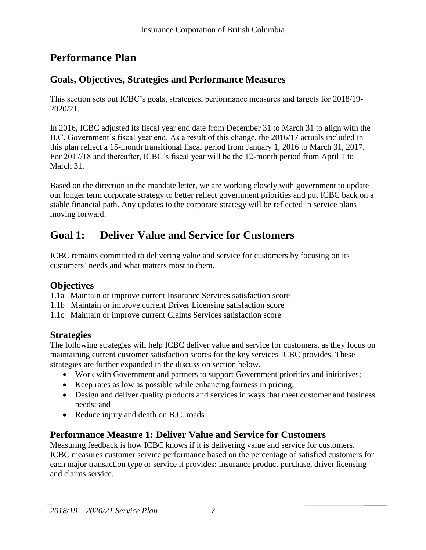# **Performance Plan**

# **Goals, Objectives, Strategies and Performance Measures**

This section sets out ICBC's goals, strategies, performance measures and targets for 2018/19- 2020/21.

In 2016, ICBC adjusted its fiscal year end date from December 31 to March 31 to align with the B.C. Government's fiscal year end. As a result of this change, the 2016/17 actuals included in this plan reflect a 15-month transitional fiscal period from January 1, 2016 to March 31, 2017. For 2017/18 and thereafter, ICBC's fiscal year will be the 12-month period from April 1 to March 31.

Based on the direction in the mandate letter, we are working closely with government to update our longer term corporate strategy to better reflect government priorities and put ICBC back on a stable financial path. Any updates to the corporate strategy will be reflected in service plans moving forward.

# **Goal 1: Deliver Value and Service for Customers**

ICBC remains committed to delivering value and service for customers by focusing on its customers' needs and what matters most to them.

#### **Objectives**

- 1.1a Maintain or improve current Insurance Services satisfaction score
- 1.1b Maintain or improve current Driver Licensing satisfaction score
- 1.1c Maintain or improve current Claims Services satisfaction score

#### **Strategies**

The following strategies will help ICBC deliver value and service for customers, as they focus on maintaining current customer satisfaction scores for the key services ICBC provides. These strategies are further expanded in the discussion section below.

- Work with Government and partners to support Government priorities and initiatives;
- Keep rates as low as possible while enhancing fairness in pricing;
- Design and deliver quality products and services in ways that meet customer and business needs; and
- Reduce injury and death on B.C. roads

# **Performance Measure 1: Deliver Value and Service for Customers**

Measuring feedback is how ICBC knows if it is delivering value and service for customers. ICBC measures customer service performance based on the percentage of satisfied customers for each major transaction type or service it provides: insurance product purchase, driver licensing and claims service.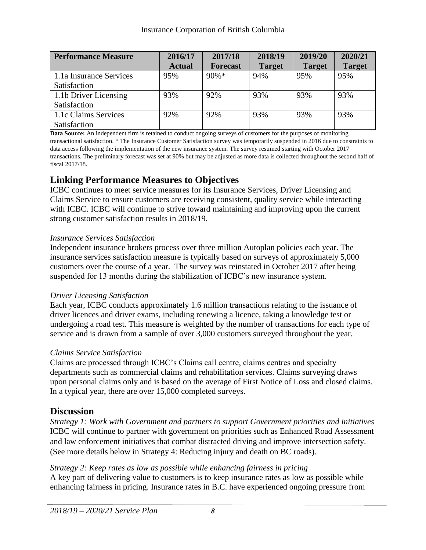| <b>Performance Measure</b> | 2016/17       | 2017/18         | 2018/19       | 2019/20       | 2020/21       |
|----------------------------|---------------|-----------------|---------------|---------------|---------------|
|                            | <b>Actual</b> | <b>Forecast</b> | <b>Target</b> | <b>Target</b> | <b>Target</b> |
| 1.1a Insurance Services    | 95%           | $90\% *$        | 94%           | 95%           | 95%           |
| Satisfaction               |               |                 |               |               |               |
| 1.1b Driver Licensing      | 93%           | 92%             | 93%           | 93%           | 93%           |
| Satisfaction               |               |                 |               |               |               |
| 1.1c Claims Services       | 92%           | 92%             | 93%           | 93%           | 93%           |
| Satisfaction               |               |                 |               |               |               |

**Data Source:** An independent firm is retained to conduct ongoing surveys of customers for the purposes of monitoring transactional satisfaction. \* The Insurance Customer Satisfaction survey was temporarily suspended in 2016 due to constraints to data access following the implementation of the new insurance system. The survey resumed starting with October 2017 transactions. The preliminary forecast was set at 90% but may be adjusted as more data is collected throughout the second half of fiscal 2017/18.

#### **Linking Performance Measures to Objectives**

ICBC continues to meet service measures for its Insurance Services, Driver Licensing and Claims Service to ensure customers are receiving consistent, quality service while interacting with ICBC. ICBC will continue to strive toward maintaining and improving upon the current strong customer satisfaction results in 2018/19.

#### *Insurance Services Satisfaction*

Independent insurance brokers process over three million Autoplan policies each year. The insurance services satisfaction measure is typically based on surveys of approximately 5,000 customers over the course of a year. The survey was reinstated in October 2017 after being suspended for 13 months during the stabilization of ICBC's new insurance system.

#### *Driver Licensing Satisfaction*

Each year, ICBC conducts approximately 1.6 million transactions relating to the issuance of driver licences and driver exams, including renewing a licence, taking a knowledge test or undergoing a road test. This measure is weighted by the number of transactions for each type of service and is drawn from a sample of over 3,000 customers surveyed throughout the year.

#### *Claims Service Satisfaction*

Claims are processed through ICBC's Claims call centre, claims centres and specialty departments such as commercial claims and rehabilitation services. Claims surveying draws upon personal claims only and is based on the average of First Notice of Loss and closed claims. In a typical year, there are over 15,000 completed surveys.

#### **Discussion**

*Strategy 1: Work with Government and partners to support Government priorities and initiatives* ICBC will continue to partner with government on priorities such as Enhanced Road Assessment and law enforcement initiatives that combat distracted driving and improve intersection safety. (See more details below in Strategy 4: Reducing injury and death on BC roads).

*Strategy 2: Keep rates as low as possible while enhancing fairness in pricing* A key part of delivering value to customers is to keep insurance rates as low as possible while enhancing fairness in pricing. Insurance rates in B.C. have experienced ongoing pressure from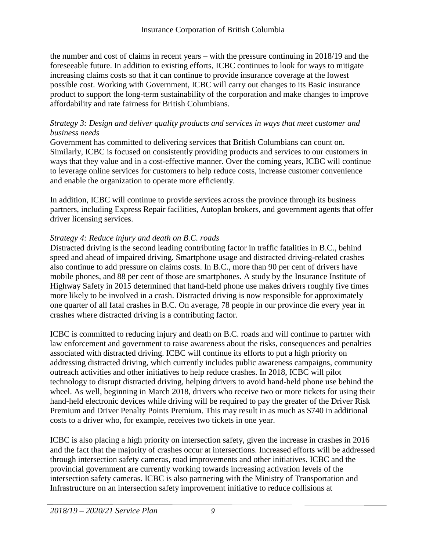the number and cost of claims in recent years – with the pressure continuing in 2018/19 and the foreseeable future. In addition to existing efforts, ICBC continues to look for ways to mitigate increasing claims costs so that it can continue to provide insurance coverage at the lowest possible cost. Working with Government, ICBC will carry out changes to its Basic insurance product to support the long-term sustainability of the corporation and make changes to improve affordability and rate fairness for British Columbians.

#### *Strategy 3: Design and deliver quality products and services in ways that meet customer and business needs*

Government has committed to delivering services that British Columbians can count on. Similarly, ICBC is focused on consistently providing products and services to our customers in ways that they value and in a cost-effective manner. Over the coming years, ICBC will continue to leverage online services for customers to help reduce costs, increase customer convenience and enable the organization to operate more efficiently.

In addition, ICBC will continue to provide services across the province through its business partners, including Express Repair facilities, Autoplan brokers, and government agents that offer driver licensing services.

#### *Strategy 4: Reduce injury and death on B.C. roads*

Distracted driving is the second leading contributing factor in traffic fatalities in B.C., behind speed and ahead of impaired driving. Smartphone usage and distracted driving-related crashes also continue to add pressure on claims costs. In B.C., more than 90 per cent of drivers have mobile phones, and 88 per cent of those are smartphones. A study by the Insurance Institute of Highway Safety in 2015 determined that hand-held phone use makes drivers roughly five times more likely to be involved in a crash. Distracted driving is now responsible for approximately one quarter of all fatal crashes in B.C. On average, 78 people in our province die every year in crashes where distracted driving is a contributing factor.

ICBC is committed to reducing injury and death on B.C. roads and will continue to partner with law enforcement and government to raise awareness about the risks, consequences and penalties associated with distracted driving. ICBC will continue its efforts to put a high priority on addressing distracted driving, which currently includes public awareness campaigns, community outreach activities and other initiatives to help reduce crashes. In 2018, ICBC will pilot technology to disrupt distracted driving, helping drivers to avoid hand-held phone use behind the wheel. As well, beginning in March 2018, drivers who receive two or more tickets for using their hand-held electronic devices while driving will be required to pay the greater of the Driver Risk Premium and Driver Penalty Points Premium. This may result in as much as \$740 in additional costs to a driver who, for example, receives two tickets in one year.

ICBC is also placing a high priority on intersection safety, given the increase in crashes in 2016 and the fact that the majority of crashes occur at intersections. Increased efforts will be addressed through intersection safety cameras, road improvements and other initiatives. ICBC and the provincial government are currently working towards increasing activation levels of the intersection safety cameras. ICBC is also partnering with the Ministry of Transportation and Infrastructure on an intersection safety improvement initiative to reduce collisions at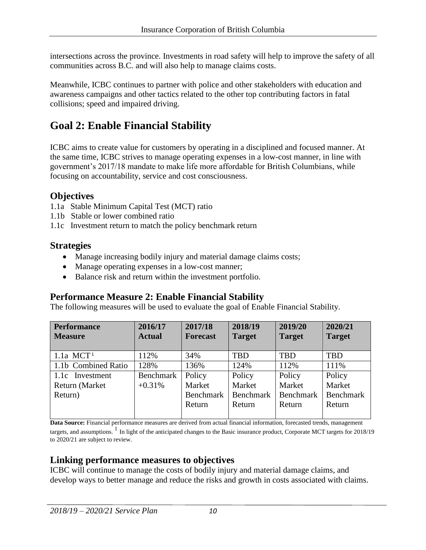intersections across the province. Investments in road safety will help to improve the safety of all communities across B.C. and will also help to manage claims costs.

Meanwhile, ICBC continues to partner with police and other stakeholders with education and awareness campaigns and other tactics related to the other top contributing factors in fatal collisions; speed and impaired driving.

# **Goal 2: Enable Financial Stability**

ICBC aims to create value for customers by operating in a disciplined and focused manner. At the same time, ICBC strives to manage operating expenses in a low-cost manner, in line with government's 2017/18 mandate to make life more affordable for British Columbians, while focusing on accountability, service and cost consciousness.

#### **Objectives**

- 1.1a Stable Minimum Capital Test (MCT) ratio
- 1.1b Stable or lower combined ratio
- 1.1c Investment return to match the policy benchmark return

# **Strategies**

- Manage increasing bodily injury and material damage claims costs;
- Manage operating expenses in a low-cost manner;
- Balance risk and return within the investment portfolio.

#### **Performance Measure 2: Enable Financial Stability**

The following measures will be used to evaluate the goal of Enable Financial Stability.

| <b>Performance</b>      | 2016/17       | 2017/18         | 2018/19       | 2019/20       | 2020/21       |
|-------------------------|---------------|-----------------|---------------|---------------|---------------|
| <b>Measure</b>          | <b>Actual</b> | <b>Forecast</b> | <b>Target</b> | <b>Target</b> | <b>Target</b> |
|                         |               |                 |               |               |               |
| $1.1a$ MCT <sup>1</sup> | 112%          | 34%             | <b>TBD</b>    | <b>TBD</b>    | <b>TBD</b>    |
| 1.1b Combined Ratio     | 128%          | 136%            | 124%          | 112%          | 111%          |
| 1.1c Investment         | Benchmark     | Policy          | Policy        | Policy        | Policy        |
| Return (Market          | $+0.31%$      | Market          | Market        | Market        | Market        |
| Return)                 |               | Benchmark       | Benchmark     | Benchmark     | Benchmark     |
|                         |               | Return          | Return        | Return        | Return        |
|                         |               |                 |               |               |               |

**Data Source:** Financial performance measures are derived from actual financial information, forecasted trends, management targets, and assumptions.  $\frac{1}{1}$  In light of the anticipated changes to the Basic insurance product, Corporate MCT targets for 2018/19 to 2020/21 are subject to review.

# **Linking performance measures to objectives**

ICBC will continue to manage the costs of bodily injury and material damage claims, and develop ways to better manage and reduce the risks and growth in costs associated with claims.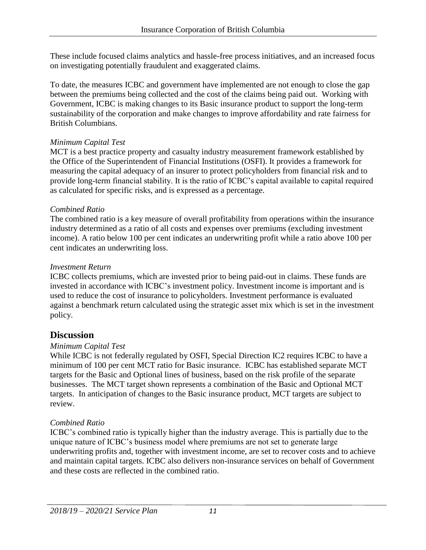These include focused claims analytics and hassle-free process initiatives, and an increased focus on investigating potentially fraudulent and exaggerated claims.

To date, the measures ICBC and government have implemented are not enough to close the gap between the premiums being collected and the cost of the claims being paid out. Working with Government, ICBC is making changes to its Basic insurance product to support the long-term sustainability of the corporation and make changes to improve affordability and rate fairness for British Columbians.

#### *Minimum Capital Test*

MCT is a best practice property and casualty industry measurement framework established by the Office of the Superintendent of Financial Institutions (OSFI). It provides a framework for measuring the capital adequacy of an insurer to protect policyholders from financial risk and to provide long-term financial stability. It is the ratio of ICBC's capital available to capital required as calculated for specific risks, and is expressed as a percentage.

#### *Combined Ratio*

The combined ratio is a key measure of overall profitability from operations within the insurance industry determined as a ratio of all costs and expenses over premiums (excluding investment income). A ratio below 100 per cent indicates an underwriting profit while a ratio above 100 per cent indicates an underwriting loss.

#### *Investment Return*

ICBC collects premiums, which are invested prior to being paid-out in claims. These funds are invested in accordance with ICBC's investment policy. Investment income is important and is used to reduce the cost of insurance to policyholders. Investment performance is evaluated against a benchmark return calculated using the strategic asset mix which is set in the investment policy.

#### **Discussion**

#### *Minimum Capital Test*

While ICBC is not federally regulated by OSFI, Special Direction IC2 requires ICBC to have a minimum of 100 per cent MCT ratio for Basic insurance. ICBC has established separate MCT targets for the Basic and Optional lines of business, based on the risk profile of the separate businesses. The MCT target shown represents a combination of the Basic and Optional MCT targets. In anticipation of changes to the Basic insurance product, MCT targets are subject to review.

#### *Combined Ratio*

ICBC's combined ratio is typically higher than the industry average. This is partially due to the unique nature of ICBC's business model where premiums are not set to generate large underwriting profits and, together with investment income, are set to recover costs and to achieve and maintain capital targets. ICBC also delivers non-insurance services on behalf of Government and these costs are reflected in the combined ratio.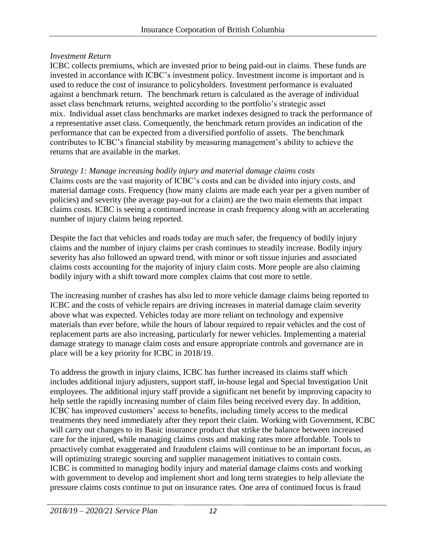#### *Investment Return*

ICBC collects premiums, which are invested prior to being paid-out in claims. These funds are invested in accordance with ICBC's investment policy. Investment income is important and is used to reduce the cost of insurance to policyholders. Investment performance is evaluated against a benchmark return. The benchmark return is calculated as the average of individual asset class benchmark returns, weighted according to the portfolio's strategic asset mix. Individual asset class benchmarks are market indexes designed to track the performance of a representative asset class. Consequently, the benchmark return provides an indication of the performance that can be expected from a diversified portfolio of assets. The benchmark contributes to ICBC's financial stability by measuring management's ability to achieve the returns that are available in the market.

*Strategy 1: Manage increasing bodily injury and material damage claims costs* Claims costs are the vast majority of ICBC's costs and can be divided into injury costs, and material damage costs. Frequency (how many claims are made each year per a given number of policies) and severity (the average pay-out for a claim) are the two main elements that impact claims costs. ICBC is seeing a continued increase in crash frequency along with an accelerating number of injury claims being reported.

Despite the fact that vehicles and roads today are much safer, the frequency of bodily injury claims and the number of injury claims per crash continues to steadily increase. Bodily injury severity has also followed an upward trend, with minor or soft tissue injuries and associated claims costs accounting for the majority of injury claim costs. More people are also claiming bodily injury with a shift toward more complex claims that cost more to settle.

The increasing number of crashes has also led to more vehicle damage claims being reported to ICBC and the costs of vehicle repairs are driving increases in material damage claim severity above what was expected. Vehicles today are more reliant on technology and expensive materials than ever before, while the hours of labour required to repair vehicles and the cost of replacement parts are also increasing, particularly for newer vehicles. Implementing a material damage strategy to manage claim costs and ensure appropriate controls and governance are in place will be a key priority for ICBC in 2018/19.

To address the growth in injury claims, ICBC has further increased its claims staff which includes additional injury adjusters, support staff, in-house legal and Special Investigation Unit employees. The additional injury staff provide a significant net benefit by improving capacity to help settle the rapidly increasing number of claim files being received every day. In addition, ICBC has improved customers' access to benefits, including timely access to the medical treatments they need immediately after they report their claim. Working with Government, ICBC will carry out changes to its Basic insurance product that strike the balance between increased care for the injured, while managing claims costs and making rates more affordable. Tools to proactively combat exaggerated and fraudulent claims will continue to be an important focus, as will optimizing strategic sourcing and supplier management initiatives to contain costs. ICBC is committed to managing bodily injury and material damage claims costs and working with government to develop and implement short and long term strategies to help alleviate the pressure claims costs continue to put on insurance rates. One area of continued focus is fraud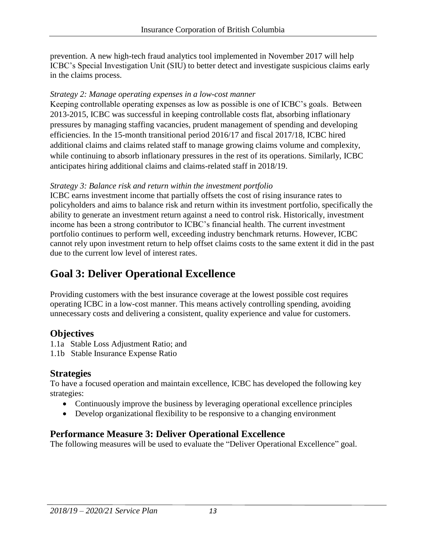prevention. A new high-tech fraud analytics tool implemented in November 2017 will help ICBC's Special Investigation Unit (SIU) to better detect and investigate suspicious claims early in the claims process.

#### *Strategy 2: Manage operating expenses in a low-cost manner*

Keeping controllable operating expenses as low as possible is one of ICBC's goals. Between 2013-2015, ICBC was successful in keeping controllable costs flat, absorbing inflationary pressures by managing staffing vacancies, prudent management of spending and developing efficiencies. In the 15-month transitional period 2016/17 and fiscal 2017/18, ICBC hired additional claims and claims related staff to manage growing claims volume and complexity, while continuing to absorb inflationary pressures in the rest of its operations. Similarly, ICBC anticipates hiring additional claims and claims-related staff in 2018/19.

#### *Strategy 3: Balance risk and return within the investment portfolio*

ICBC earns investment income that partially offsets the cost of rising insurance rates to policyholders and aims to balance risk and return within its investment portfolio, specifically the ability to generate an investment return against a need to control risk. Historically, investment income has been a strong contributor to ICBC's financial health. The current investment portfolio continues to perform well, exceeding industry benchmark returns. However, ICBC cannot rely upon investment return to help offset claims costs to the same extent it did in the past due to the current low level of interest rates.

# **Goal 3: Deliver Operational Excellence**

Providing customers with the best insurance coverage at the lowest possible cost requires operating ICBC in a low-cost manner. This means actively controlling spending, avoiding unnecessary costs and delivering a consistent, quality experience and value for customers.

# **Objectives**

1.1a Stable Loss Adjustment Ratio; and

1.1b Stable Insurance Expense Ratio

# **Strategies**

To have a focused operation and maintain excellence, ICBC has developed the following key strategies:

- Continuously improve the business by leveraging operational excellence principles
- Develop organizational flexibility to be responsive to a changing environment

# **Performance Measure 3: Deliver Operational Excellence**

The following measures will be used to evaluate the "Deliver Operational Excellence" goal.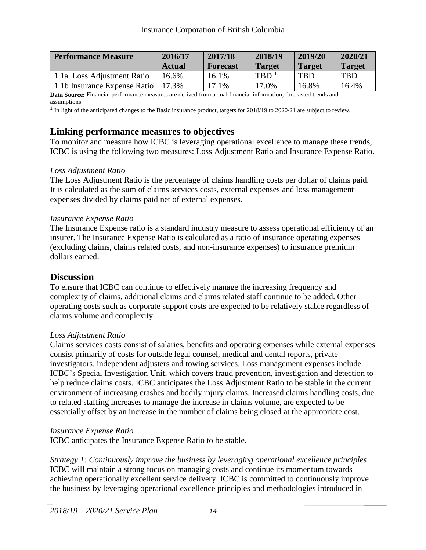| <b>Performance Measure</b>                                                                                                                                                                                                                                                                                                   | 2016/17       | 2017/18         | 2018/19          | 2019/20            | 2020/21            |
|------------------------------------------------------------------------------------------------------------------------------------------------------------------------------------------------------------------------------------------------------------------------------------------------------------------------------|---------------|-----------------|------------------|--------------------|--------------------|
|                                                                                                                                                                                                                                                                                                                              | <b>Actual</b> | <b>Forecast</b> | <b>Target</b>    | <b>Target</b>      | <b>Target</b>      |
| 1.1a Loss Adjustment Ratio                                                                                                                                                                                                                                                                                                   | 16.6%         | 16.1%           | TBD <sup>1</sup> | $TBD$ <sup>1</sup> | $TBD$ <sup>1</sup> |
| 1.1b Insurance Expense Ratio                                                                                                                                                                                                                                                                                                 | $17.3\%$      | 17.1%           | 17.0%            | 16.8%              | 16.4%              |
| $\mathbf{D}_1$ , $\mathbf{C}_2$ , $\mathbf{C}_3$ , $\mathbf{D}_2$ , $\mathbf{D}_3$ , $\mathbf{D}_4$ , $\mathbf{D}_5$ , $\mathbf{D}_5$ , $\mathbf{D}_6$ , $\mathbf{D}_7$ , $\mathbf{D}_8$ , $\mathbf{D}_8$ , $\mathbf{D}_9$ , $\mathbf{D}_9$ , $\mathbf{D}_8$ , $\mathbf{D}_9$ , $\mathbf{D}_9$ , $\mathbf{D}_9$ , $\mathbf{$ |               |                 |                  |                    |                    |

**Data Source:** Financial performance measures are derived from actual financial information, forecasted trends and assumptions.

 $<sup>1</sup>$  In light of the anticipated changes to the Basic insurance product, targets for 2018/19 to 2020/21 are subject to review.</sup>

#### **Linking performance measures to objectives**

To monitor and measure how ICBC is leveraging operational excellence to manage these trends, ICBC is using the following two measures: Loss Adjustment Ratio and Insurance Expense Ratio.

#### *Loss Adjustment Ratio*

The Loss Adjustment Ratio is the percentage of claims handling costs per dollar of claims paid. It is calculated as the sum of claims services costs, external expenses and loss management expenses divided by claims paid net of external expenses.

#### *Insurance Expense Ratio*

The Insurance Expense ratio is a standard industry measure to assess operational efficiency of an insurer. The Insurance Expense Ratio is calculated as a ratio of insurance operating expenses (excluding claims, claims related costs, and non-insurance expenses) to insurance premium dollars earned.

#### **Discussion**

To ensure that ICBC can continue to effectively manage the increasing frequency and complexity of claims, additional claims and claims related staff continue to be added. Other operating costs such as corporate support costs are expected to be relatively stable regardless of claims volume and complexity.

#### *Loss Adjustment Ratio*

Claims services costs consist of salaries, benefits and operating expenses while external expenses consist primarily of costs for outside legal counsel, medical and dental reports, private investigators, independent adjusters and towing services. Loss management expenses include ICBC's Special Investigation Unit, which covers fraud prevention, investigation and detection to help reduce claims costs. ICBC anticipates the Loss Adjustment Ratio to be stable in the current environment of increasing crashes and bodily injury claims. Increased claims handling costs, due to related staffing increases to manage the increase in claims volume, are expected to be essentially offset by an increase in the number of claims being closed at the appropriate cost.

#### *Insurance Expense Ratio*

ICBC anticipates the Insurance Expense Ratio to be stable.

*Strategy 1: Continuously improve the business by leveraging operational excellence principles* ICBC will maintain a strong focus on managing costs and continue its momentum towards achieving operationally excellent service delivery. ICBC is committed to continuously improve the business by leveraging operational excellence principles and methodologies introduced in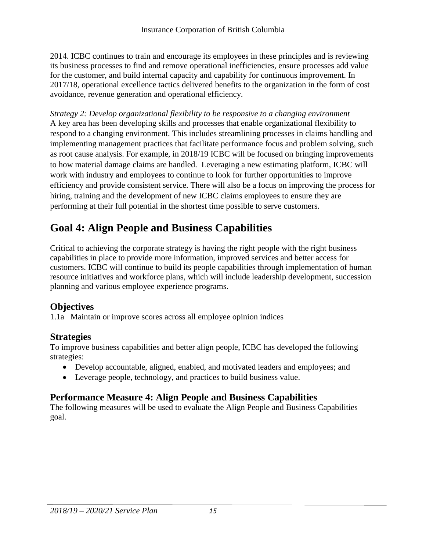2014. ICBC continues to train and encourage its employees in these principles and is reviewing its business processes to find and remove operational inefficiencies, ensure processes add value for the customer, and build internal capacity and capability for continuous improvement. In 2017/18, operational excellence tactics delivered benefits to the organization in the form of cost avoidance, revenue generation and operational efficiency.

*Strategy 2: Develop organizational flexibility to be responsive to a changing environment*  A key area has been developing skills and processes that enable organizational flexibility to respond to a changing environment. This includes streamlining processes in claims handling and implementing management practices that facilitate performance focus and problem solving, such as root cause analysis. For example, in 2018/19 ICBC will be focused on bringing improvements to how material damage claims are handled. Leveraging a new estimating platform, ICBC will work with industry and employees to continue to look for further opportunities to improve efficiency and provide consistent service. There will also be a focus on improving the process for hiring, training and the development of new ICBC claims employees to ensure they are performing at their full potential in the shortest time possible to serve customers.

# **Goal 4: Align People and Business Capabilities**

Critical to achieving the corporate strategy is having the right people with the right business capabilities in place to provide more information, improved services and better access for customers. ICBC will continue to build its people capabilities through implementation of human resource initiatives and workforce plans, which will include leadership development, succession planning and various employee experience programs.

# **Objectives**

1.1a Maintain or improve scores across all employee opinion indices

# **Strategies**

To improve business capabilities and better align people, ICBC has developed the following strategies:

- Develop accountable, aligned, enabled, and motivated leaders and employees; and
- Leverage people, technology, and practices to build business value.

# **Performance Measure 4: Align People and Business Capabilities**

The following measures will be used to evaluate the Align People and Business Capabilities goal.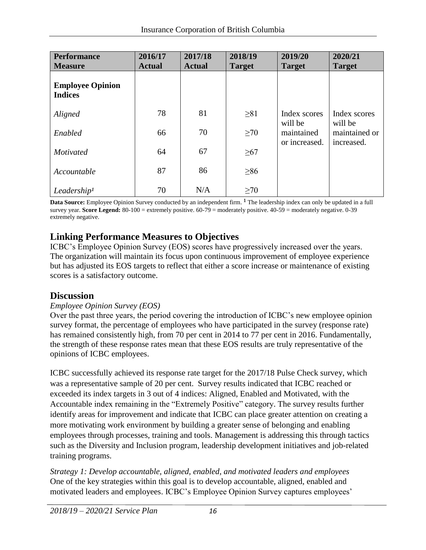| <b>Performance</b><br><b>Measure</b>      | 2016/17<br><b>Actual</b> | 2017/18<br><b>Actual</b> | 2018/19<br><b>Target</b> | 2019/20<br><b>Target</b> | 2020/21<br><b>Target</b> |
|-------------------------------------------|--------------------------|--------------------------|--------------------------|--------------------------|--------------------------|
| <b>Employee Opinion</b><br><b>Indices</b> |                          |                          |                          |                          |                          |
| Aligned                                   | 78                       | 81                       | $\geq 81$                | Index scores             | Index scores             |
| Enabled                                   | 66                       | 70                       | $\geq 70$                | will be<br>maintained    | will be<br>maintained or |
| <b>Motivated</b>                          | 64                       | 67                       | $\geq 67$                | or increased.            | increased.               |
| Accountable                               | 87                       | 86                       | $\geq 86$                |                          |                          |
| Leadership <sup>1</sup>                   | 70                       | N/A                      | $\geq 70$                |                          |                          |

Data Source: Employee Opinion Survey conducted by an independent firm. <sup>1</sup> The leadership index can only be updated in a full survey year. **Score Legend:** 80-100 = extremely positive. 60-79 = moderately positive. 40-59 = moderately negative. 0-39 extremely negative.

# **Linking Performance Measures to Objectives**

ICBC's Employee Opinion Survey (EOS) scores have progressively increased over the years. The organization will maintain its focus upon continuous improvement of employee experience but has adjusted its EOS targets to reflect that either a score increase or maintenance of existing scores is a satisfactory outcome.

#### **Discussion**

#### *Employee Opinion Survey (EOS)*

Over the past three years, the period covering the introduction of ICBC's new employee opinion survey format, the percentage of employees who have participated in the survey (response rate) has remained consistently high, from 70 per cent in 2014 to 77 per cent in 2016. Fundamentally, the strength of these response rates mean that these EOS results are truly representative of the opinions of ICBC employees.

ICBC successfully achieved its response rate target for the 2017/18 Pulse Check survey, which was a representative sample of 20 per cent. Survey results indicated that ICBC reached or exceeded its index targets in 3 out of 4 indices: Aligned, Enabled and Motivated, with the Accountable index remaining in the "Extremely Positive" category. The survey results further identify areas for improvement and indicate that ICBC can place greater attention on creating a more motivating work environment by building a greater sense of belonging and enabling employees through processes, training and tools. Management is addressing this through tactics such as the Diversity and Inclusion program, leadership development initiatives and job-related training programs.

*Strategy 1: Develop accountable, aligned, enabled, and motivated leaders and employees* One of the key strategies within this goal is to develop accountable, aligned, enabled and motivated leaders and employees. ICBC's Employee Opinion Survey captures employees'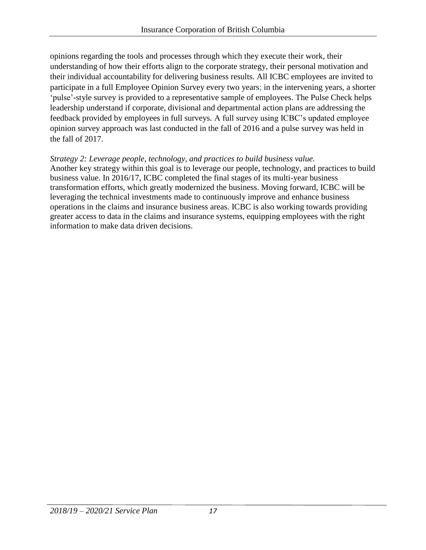opinions regarding the tools and processes through which they execute their work, their understanding of how their efforts align to the corporate strategy, their personal motivation and their individual accountability for delivering business results. All ICBC employees are invited to participate in a full Employee Opinion Survey every two years; in the intervening years, a shorter 'pulse'-style survey is provided to a representative sample of employees. The Pulse Check helps leadership understand if corporate, divisional and departmental action plans are addressing the feedback provided by employees in full surveys. A full survey using ICBC's updated employee opinion survey approach was last conducted in the fall of 2016 and a pulse survey was held in the fall of 2017.

#### *Strategy 2: Leverage people, technology, and practices to build business value.*

Another key strategy within this goal is to leverage our people, technology, and practices to build business value. In 2016/17, ICBC completed the final stages of its multi-year business transformation efforts, which greatly modernized the business. Moving forward, ICBC will be leveraging the technical investments made to continuously improve and enhance business operations in the claims and insurance business areas. ICBC is also working towards providing greater access to data in the claims and insurance systems, equipping employees with the right information to make data driven decisions.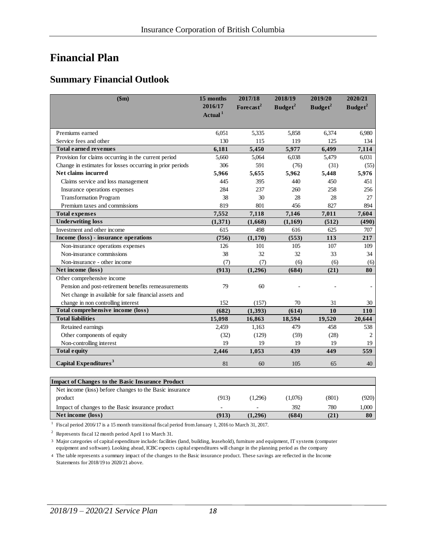# **Financial Plan**

### **Summary Financial Outlook**

| \$m\$                                                                                             | 15 months<br>2016/17<br>Actual <sup>1</sup> | 2017/18<br>Forecast <sup>2</sup> | 2018/19<br>$B$ udget <sup>2</sup> | 2019/20<br>Budget <sup>2</sup> | 2020/21<br>$B$ udget <sup>2</sup> |
|---------------------------------------------------------------------------------------------------|---------------------------------------------|----------------------------------|-----------------------------------|--------------------------------|-----------------------------------|
| Premiums earned                                                                                   | 6,051                                       | 5,335                            | 5,858                             | 6,374                          | 6,980                             |
| Service fees and other                                                                            | 130                                         | 115                              | 119                               | 125                            | 134                               |
| <b>Total earned revenues</b>                                                                      | 6,181                                       | 5,450                            | 5,977                             | 6,499                          | 7,114                             |
| Provision for claims occurring in the current period                                              | 5,660                                       | 5,064                            | 6,038                             | 5,479                          | 6,031                             |
| Change in estimates for losses occurring in prior periods                                         | 306                                         | 591                              | (76)                              | (31)                           | (55)                              |
| Net claims incurred                                                                               | 5,966                                       | 5,655                            | 5,962                             | 5,448                          | 5,976                             |
| Claims service and loss management                                                                | 445                                         | 395                              | 440                               | 450                            | 451                               |
| Insurance operations expenses                                                                     | 284                                         | 237                              | 260                               | 258                            | 256                               |
| <b>Transformation Program</b>                                                                     | 38                                          | 30                               | 28                                | 28                             | 27                                |
| Premium taxes and commissions                                                                     | 819                                         | 801                              | 456                               | 827                            | 894                               |
| <b>Total expenses</b>                                                                             | 7,552                                       | 7,118                            | 7,146                             | 7,011                          | 7,604                             |
| <b>Underwriting loss</b>                                                                          | (1,371)                                     | (1,668)                          | (1,169)                           | (512)                          | (490)                             |
| Investment and other income                                                                       | 615                                         | 498                              | 616                               | 625                            | 707                               |
| Income (loss) - insurance operations                                                              | (756)                                       | (1,170)                          | (553)                             | 113                            | 217                               |
| Non-insurance operations expenses                                                                 | 126                                         | 101                              | 105                               | 107                            | 109                               |
| Non-insurance commissions                                                                         | 38                                          | 32                               | 32                                | 33                             | 34                                |
| Non-insurance - other income                                                                      | (7)                                         | (7)                              | (6)                               | (6)                            | (6)                               |
| Net income (loss)                                                                                 | (913)                                       | (1,296)                          | (684)                             | (21)                           | 80                                |
| Other comprehensive income                                                                        |                                             |                                  |                                   |                                |                                   |
| Pension and post-retirement benefits remeasurements                                               | 79                                          | 60                               |                                   |                                |                                   |
| Net change in available for sale financial assets and                                             |                                             |                                  |                                   |                                |                                   |
| change in non controlling interest                                                                | 152                                         | (157)                            | 70                                | 31                             | 30                                |
| Total comprehensive income (loss)                                                                 | (682)                                       | (1, 393)                         | (614)                             | 10                             | 110                               |
| <b>Total liabilities</b>                                                                          | 15,098                                      | 16,863                           | 18,594                            | 19,520                         | 20,644                            |
| Retained earnings                                                                                 | 2,459                                       | 1,163                            | 479                               | 458                            | 538                               |
| Other components of equity                                                                        | (32)                                        | (129)                            | (59)                              | (28)                           | 2                                 |
| Non-controlling interest                                                                          | 19                                          | 19                               | 19                                | 19                             | 19                                |
| <b>Total equity</b>                                                                               | 2,446                                       | 1,053                            | 439                               | 449                            | 559                               |
| Capital Expenditures <sup>3</sup>                                                                 | 81                                          | 60                               | 105                               | 65                             | 40                                |
| <b>Impact of Changes to the Basic Insurance Product</b><br>$\sim$ $\sim$ $\sim$<br>$\sqrt{1}$ $c$ |                                             |                                  |                                   |                                |                                   |

| <b>Impact of Changes to the Basic Insurance Product</b>                                                |       |         |         |       |       |
|--------------------------------------------------------------------------------------------------------|-------|---------|---------|-------|-------|
| Net income (loss) before changes to the Basic insurance                                                |       |         |         |       |       |
| product                                                                                                | (913) | (1.296) | (1.076) | (801) | (920) |
| Impact of changes to the Basic insurance product                                                       |       | -       | 392     | 780   | 1,000 |
| Net income (loss)                                                                                      | (913) | (1.296) | (684)   | (21)  | 80    |
| Fiscal period 2016/17 is a 15 month transitional fiscal period from January 1, 2016 to March 31, 2017. |       |         |         |       |       |

<sup>1</sup> Fiscal period 2016/17 is a 15 month transitional fiscal period from January 1, 2016 to March 31, 2017.

<sup>2</sup> Represents fiscal 12 month period April 1 to March 31.

3 Major categories of capital expenditure include: facilities (land, building, leasehold), furniture and equipment, IT systems (computer equipment and software). Looking ahead, ICBC expects capital expenditures will change in the planning period as the company

4 The table represents a summary impact of the changes to the Basic insurance product. These savings are reflected in the Income Statements for 2018/19 to 2020/21 above.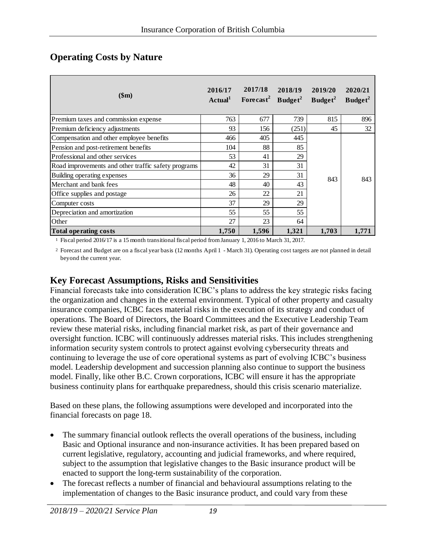| \$m\$                                               | 2016/17<br>Actual <sup>1</sup> | 2017/18<br>Forecast <sup>2</sup> Budget <sup>2</sup> | 2018/19 | 2019/20<br>Budget <sup>2</sup> | 2020/21<br>$B$ udget <sup>2</sup> |
|-----------------------------------------------------|--------------------------------|------------------------------------------------------|---------|--------------------------------|-----------------------------------|
| Premium taxes and commission expense                | 763                            | 677                                                  | 739     | 815                            | 896                               |
| Premium deficiency adjustments                      | 93                             | 156                                                  | (251)   | 45                             | 32                                |
| Compensation and other employee benefits            | 466                            | 405                                                  | 445     |                                | 843                               |
| Pension and post-retirement benefits                | 104                            | 88                                                   | 85      |                                |                                   |
| Professional and other services                     | 53                             | 41                                                   | 29      |                                |                                   |
| Road improvements and other traffic safety programs | 42                             | 31                                                   | 31      |                                |                                   |
| Building operating expenses                         | 36                             | 29                                                   | 31      | 843                            |                                   |
| Merchant and bank fees                              | 48                             | 40                                                   | 43      |                                |                                   |
| Office supplies and postage                         | 26                             | 22                                                   | 21      |                                |                                   |
| Computer costs                                      | 37                             | 29                                                   | 29      |                                |                                   |
| Depreciation and amortization                       | 55                             | 55                                                   | 55      |                                |                                   |
| Other                                               | 27                             | 23                                                   | 64      |                                |                                   |
| Total operating costs                               | 1,750                          | 1,596                                                | 1,321   | 1.703                          | 1.771                             |

#### **Operating Costs by Nature**

1 Fiscal period 2016/17 is a 15 month transitional fiscal period from January 1, 2016 to March 31, 2017.

2 Forecast and Budget are on a fiscal year basis (12 months April 1 - March 31). Operating cost targets are not planned in detail beyond the current year.

#### **Key Forecast Assumptions, Risks and Sensitivities**

Financial forecasts take into consideration ICBC's plans to address the key strategic risks facing the organization and changes in the external environment. Typical of other property and casualty insurance companies, ICBC faces material risks in the execution of its strategy and conduct of operations. The Board of Directors, the Board Committees and the Executive Leadership Team review these material risks, including financial market risk, as part of their governance and oversight function. ICBC will continuously addresses material risks. This includes strengthening information security system controls to protect against evolving cybersecurity threats and continuing to leverage the use of core operational systems as part of evolving ICBC's business model. Leadership development and succession planning also continue to support the business model. Finally, like other B.C. Crown corporations, ICBC will ensure it has the appropriate business continuity plans for earthquake preparedness, should this crisis scenario materialize.

Based on these plans, the following assumptions were developed and incorporated into the financial forecasts on page 18.

- The summary financial outlook reflects the overall operations of the business, including Basic and Optional insurance and non-insurance activities. It has been prepared based on current legislative, regulatory, accounting and judicial frameworks, and where required, subject to the assumption that legislative changes to the Basic insurance product will be enacted to support the long-term sustainability of the corporation.
- The forecast reflects a number of financial and behavioural assumptions relating to the implementation of changes to the Basic insurance product, and could vary from these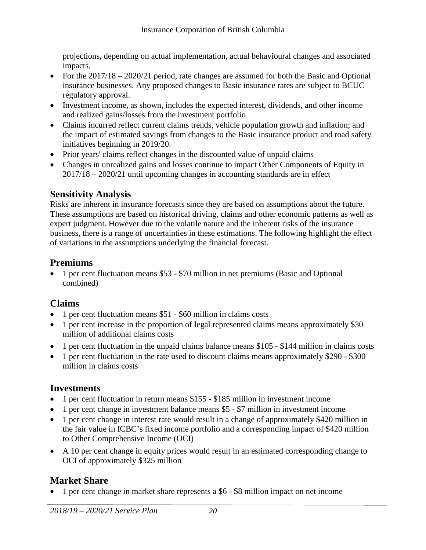projections, depending on actual implementation, actual behavioural changes and associated impacts.

- For the 2017/18 2020/21 period, rate changes are assumed for both the Basic and Optional insurance businesses. Any proposed changes to Basic insurance rates are subject to BCUC regulatory approval.
- Investment income, as shown, includes the expected interest, dividends, and other income and realized gains/losses from the investment portfolio
- Claims incurred reflect current claims trends, vehicle population growth and inflation; and the impact of estimated savings from changes to the Basic insurance product and road safety initiatives beginning in 2019/20.
- Prior years' claims reflect changes in the discounted value of unpaid claims
- Changes in unrealized gains and losses continue to impact Other Components of Equity in 2017/18 – 2020/21 until upcoming changes in accounting standards are in effect

# **Sensitivity Analysis**

Risks are inherent in insurance forecasts since they are based on assumptions about the future. These assumptions are based on historical driving, claims and other economic patterns as well as expert judgment. However due to the volatile nature and the inherent risks of the insurance business, there is a range of uncertainties in these estimations. The following highlight the effect of variations in the assumptions underlying the financial forecast.

# **Premiums**

• 1 per cent fluctuation means \$53 - \$70 million in net premiums (Basic and Optional combined)

# **Claims**

- 1 per cent fluctuation means \$51 \$60 million in claims costs
- 1 per cent increase in the proportion of legal represented claims means approximately \$30 million of additional claims costs
- 1 per cent fluctuation in the unpaid claims balance means \$105 \$144 million in claims costs
- 1 per cent fluctuation in the rate used to discount claims means approximately \$290 \$300 million in claims costs

# **Investments**

- 1 per cent fluctuation in return means \$155 \$185 million in investment income
- 1 per cent change in investment balance means \$5 \$7 million in investment income
- 1 per cent change in interest rate would result in a change of approximately \$420 million in the fair value in ICBC's fixed income portfolio and a corresponding impact of \$420 million to Other Comprehensive Income (OCI)
- A 10 per cent change in equity prices would result in an estimated corresponding change to OCI of approximately \$325 million

# **Market Share**

1 per cent change in market share represents a \$6 - \$8 million impact on net income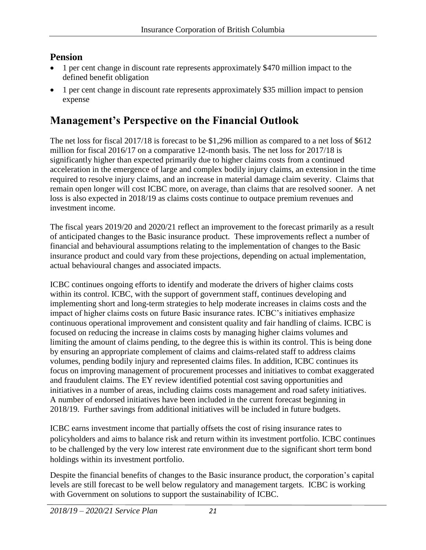# **Pension**

- 1 per cent change in discount rate represents approximately \$470 million impact to the defined benefit obligation
- 1 per cent change in discount rate represents approximately \$35 million impact to pension expense

# **Management's Perspective on the Financial Outlook**

The net loss for fiscal 2017/18 is forecast to be \$1,296 million as compared to a net loss of \$612 million for fiscal 2016/17 on a comparative 12-month basis. The net loss for 2017/18 is significantly higher than expected primarily due to higher claims costs from a continued acceleration in the emergence of large and complex bodily injury claims, an extension in the time required to resolve injury claims, and an increase in material damage claim severity. Claims that remain open longer will cost ICBC more, on average, than claims that are resolved sooner. A net loss is also expected in 2018/19 as claims costs continue to outpace premium revenues and investment income.

The fiscal years 2019/20 and 2020/21 reflect an improvement to the forecast primarily as a result of anticipated changes to the Basic insurance product. These improvements reflect a number of financial and behavioural assumptions relating to the implementation of changes to the Basic insurance product and could vary from these projections, depending on actual implementation, actual behavioural changes and associated impacts.

ICBC continues ongoing efforts to identify and moderate the drivers of higher claims costs within its control. ICBC, with the support of government staff, continues developing and implementing short and long-term strategies to help moderate increases in claims costs and the impact of higher claims costs on future Basic insurance rates. ICBC's initiatives emphasize continuous operational improvement and consistent quality and fair handling of claims. ICBC is focused on reducing the increase in claims costs by managing higher claims volumes and limiting the amount of claims pending, to the degree this is within its control. This is being done by ensuring an appropriate complement of claims and claims-related staff to address claims volumes, pending bodily injury and represented claims files. In addition, ICBC continues its focus on improving management of procurement processes and initiatives to combat exaggerated and fraudulent claims. The EY review identified potential cost saving opportunities and initiatives in a number of areas, including claims costs management and road safety initiatives. A number of endorsed initiatives have been included in the current forecast beginning in 2018/19. Further savings from additional initiatives will be included in future budgets.

ICBC earns investment income that partially offsets the cost of rising insurance rates to policyholders and aims to balance risk and return within its investment portfolio. ICBC continues to be challenged by the very low interest rate environment due to the significant short term bond holdings within its investment portfolio.

Despite the financial benefits of changes to the Basic insurance product, the corporation's capital levels are still forecast to be well below regulatory and management targets. ICBC is working with Government on solutions to support the sustainability of ICBC.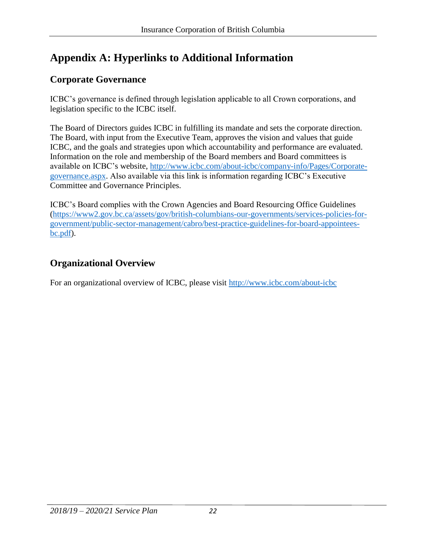# **Appendix A: Hyperlinks to Additional Information**

### **Corporate Governance**

ICBC's governance is defined through legislation applicable to all Crown corporations, and legislation specific to the ICBC itself.

The Board of Directors guides ICBC in fulfilling its mandate and sets the corporate direction. The Board, with input from the Executive Team, approves the vision and values that guide ICBC, and the goals and strategies upon which accountability and performance are evaluated. Information on the role and membership of the Board members and Board committees is available on ICBC's website, [http://www.icbc.com/about-icbc/company-info/Pages/Corporate](http://www.icbc.com/about-icbc/company-info/Pages/Corporate-governance.aspx)[governance.aspx.](http://www.icbc.com/about-icbc/company-info/Pages/Corporate-governance.aspx) Also available via this link is information regarding ICBC's Executive Committee and Governance Principles.

ICBC's Board complies with the Crown Agencies and Board Resourcing Office Guidelines [\(https://www2.gov.bc.ca/assets/gov/british-columbians-our-governments/services-policies-for](https://www2.gov.bc.ca/assets/gov/british-columbians-our-governments/services-policies-for-government/public-sector-management/cabro/best-practice-guidelines-for-board-appointees-bc.pdf)[government/public-sector-management/cabro/best-practice-guidelines-for-board-appointees](https://www2.gov.bc.ca/assets/gov/british-columbians-our-governments/services-policies-for-government/public-sector-management/cabro/best-practice-guidelines-for-board-appointees-bc.pdf)[bc.pdf\)](https://www2.gov.bc.ca/assets/gov/british-columbians-our-governments/services-policies-for-government/public-sector-management/cabro/best-practice-guidelines-for-board-appointees-bc.pdf).

# **Organizational Overview**

For an organizational overview of ICBC, please visit<http://www.icbc.com/about-icbc>